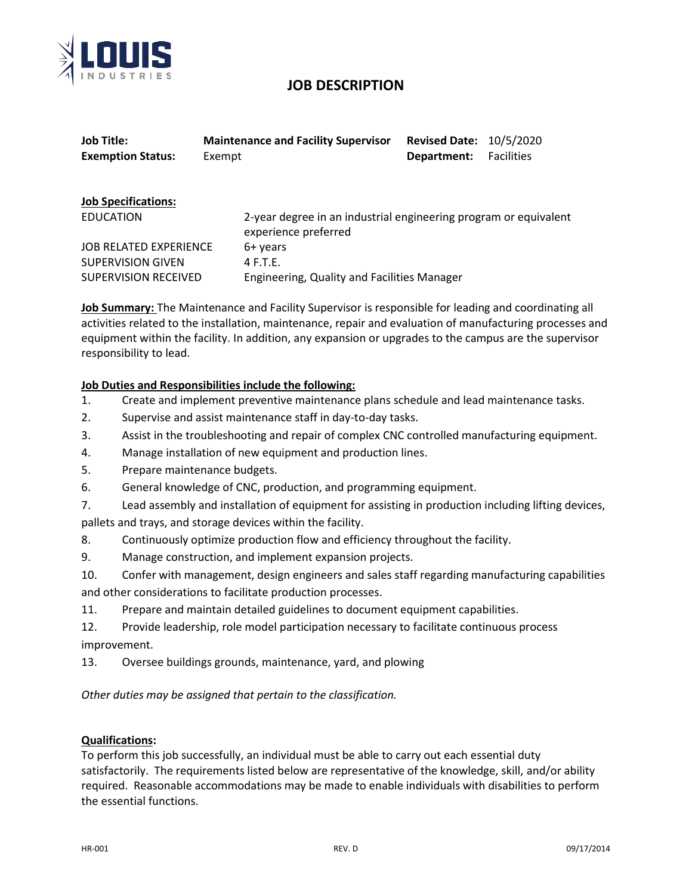

# **JOB DESCRIPTION**

| <b>Job Title:</b>             | <b>Maintenance and Facility Supervisor</b>                                               | <b>Revised Date: 10/5/2020</b> |                   |
|-------------------------------|------------------------------------------------------------------------------------------|--------------------------------|-------------------|
| <b>Exemption Status:</b>      | Exempt                                                                                   | Department:                    | <b>Facilities</b> |
|                               |                                                                                          |                                |                   |
| <b>Job Specifications:</b>    |                                                                                          |                                |                   |
| EDUCATION                     | 2-year degree in an industrial engineering program or equivalent<br>experience preferred |                                |                   |
| <b>JOB RELATED EXPERIENCE</b> | 6+ years                                                                                 |                                |                   |
| <b>SUPERVISION GIVEN</b>      | $4$ F.T.E.                                                                               |                                |                   |
| <b>SUPERVISION RECEIVED</b>   | Engineering, Quality and Facilities Manager                                              |                                |                   |

**Job Summary:** The Maintenance and Facility Supervisor is responsible for leading and coordinating all activities related to the installation, maintenance, repair and evaluation of manufacturing processes and equipment within the facility. In addition, any expansion or upgrades to the campus are the supervisor responsibility to lead.

## **Job Duties and Responsibilities include the following:**

- 1. Create and implement preventive maintenance plans schedule and lead maintenance tasks.
- 2. Supervise and assist maintenance staff in day-to-day tasks.
- 3. Assist in the troubleshooting and repair of complex CNC controlled manufacturing equipment.
- 4. Manage installation of new equipment and production lines.
- 5. Prepare maintenance budgets.
- 6. General knowledge of CNC, production, and programming equipment.
- 7. Lead assembly and installation of equipment for assisting in production including lifting devices, pallets and trays, and storage devices within the facility.
- 8. Continuously optimize production flow and efficiency throughout the facility.
- 9. Manage construction, and implement expansion projects.
- 10. Confer with management, design engineers and sales staff regarding manufacturing capabilities and other considerations to facilitate production processes.
- 11. Prepare and maintain detailed guidelines to document equipment capabilities.
- 12. Provide leadership, role model participation necessary to facilitate continuous process improvement.
- 13. Oversee buildings grounds, maintenance, yard, and plowing

*Other duties may be assigned that pertain to the classification.* 

#### **Qualifications:**

To perform this job successfully, an individual must be able to carry out each essential duty satisfactorily. The requirements listed below are representative of the knowledge, skill, and/or ability required. Reasonable accommodations may be made to enable individuals with disabilities to perform the essential functions.